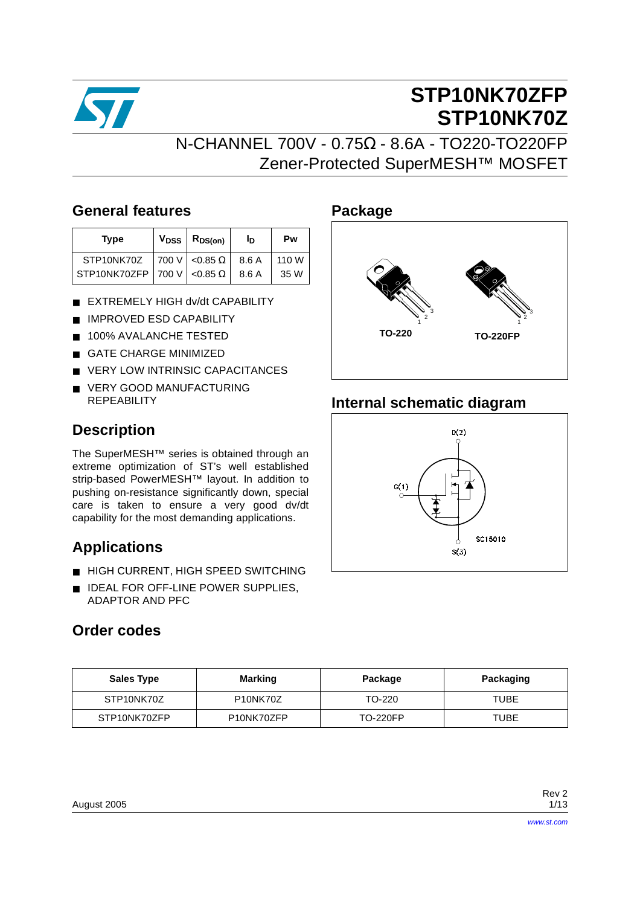

## **STP10NK70ZFP STP10NK70Z**

### N-CHANNEL 700V - 0.75Ω - 8.6A - TO220-TO220FP Zener-Protected SuperMESH™ MOSFET

### **General features**

| <b>Type</b>                             | $V_{DSS}$ $R_{DS(on)}$ | חי    | Pw    |
|-----------------------------------------|------------------------|-------|-------|
| STP <sub>10NK70Z</sub>                  | 700 V $< 0.85 \Omega$  | 8.6 A | 110 W |
| STP10NK70ZFP   700 V $ $ <0.85 $\Omega$ |                        | 8.6 A | 35 W  |

- EXTREMELY HIGH dv/dt CAPABILITY
- IMPROVED ESD CAPABILITY
- 100% AVALANCHE TESTED
- **GATE CHARGE MINIMIZED**
- **VERY LOW INTRINSIC CAPACITANCES**
- VERY GOOD MANUFACTURING **REPEABILITY**

### **Description**

The SuperMESH™ series is obtained through an extreme optimization of ST's well established strip-based PowerMESH™ layout. In addition to pushing on-resistance significantly down, special care is taken to ensure a very good dv/dt capability for the most demanding applications.

### **Applications**

- HIGH CURRENT, HIGH SPEED SWITCHING
- IDEAL FOR OFF-LINE POWER SUPPLIES, ADAPTOR AND PFC

### **Order codes**

# **Package**  $\sum_{1}^{3}$  3  $\sum_{1}^{3}$ **TO-220 TO-220FP**

### **Internal schematic diagram**



| <b>Sales Type</b> | <b>Marking</b>                     | Package         | Packaging |
|-------------------|------------------------------------|-----------------|-----------|
| STP10NK70Z        | P <sub>10</sub> NK <sub>70</sub> Z | TO-220          | TUBE      |
| STP10NK70ZFP      | P <sub>10</sub> NK70ZFP            | <b>TO-220FP</b> | TUBE      |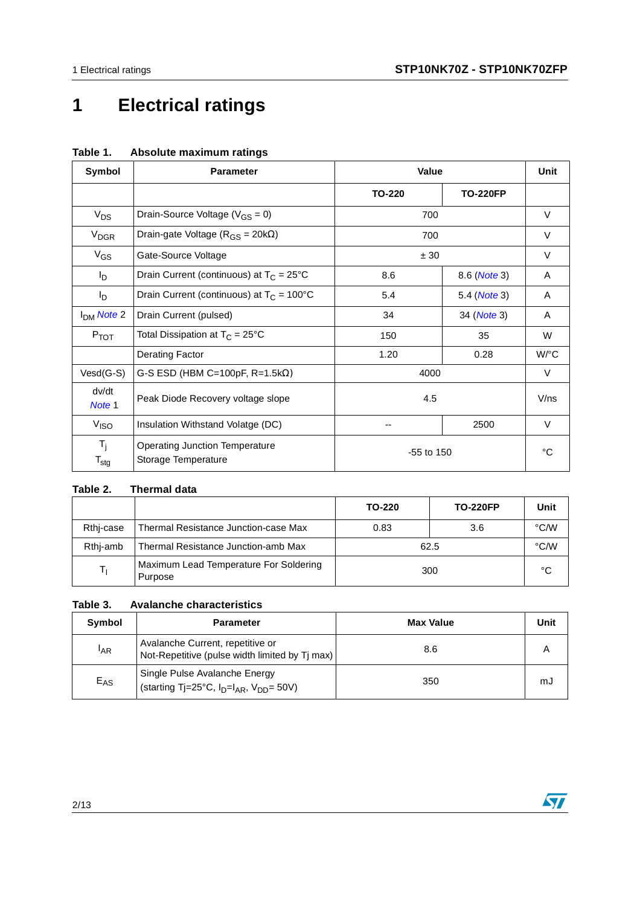## **1 Electrical ratings**

| Symbol                                   | <b>Parameter</b>                                             | Value          |                      | Unit    |
|------------------------------------------|--------------------------------------------------------------|----------------|----------------------|---------|
|                                          |                                                              | <b>TO-220</b>  | <b>TO-220FP</b>      |         |
| $V_{DS}$                                 | Drain-Source Voltage ( $V_{GS} = 0$ )                        | 700            |                      | $\vee$  |
| V <sub>DGR</sub>                         | Drain-gate Voltage ( $R_{GS}$ = 20k $\Omega$ )               | 700            |                      | $\vee$  |
| $V_{GS}$                                 | Gate-Source Voltage                                          | ± 30           |                      |         |
| l <sub>D</sub>                           | Drain Current (continuous) at $T_c = 25^{\circ}C$            | 8.6            | 8.6 ( <i>Note</i> 3) | A       |
| I <sub>D</sub>                           | Drain Current (continuous) at $T_C = 100^{\circ}C$           | 5.4            | 5.4 ( <i>Note</i> 3) | A       |
| I <sub>DM</sub> Note 2                   | Drain Current (pulsed)                                       | 34             | 34 ( <i>Note</i> 3)  | A       |
| $P_{TOT}$                                | Total Dissipation at $T_C = 25^{\circ}C$                     | 150            | 35                   | W       |
|                                          | Derating Factor                                              | 1.20           | 0.28                 | W/°C    |
| $Vesd(G-S)$                              | G-S ESD (HBM C=100pF, $R=1.5k\Omega$ )                       | 4000           |                      | V       |
| dv/dt<br>Note 1                          | Peak Diode Recovery voltage slope                            | 4.5            |                      | $V$ /ns |
| V <sub>ISO</sub>                         | Insulation Withstand Volatge (DC)                            |                | 2500                 | $\vee$  |
| $T_{\rm i}$<br>$\mathsf{T}_{\text{stg}}$ | <b>Operating Junction Temperature</b><br>Storage Temperature | $-55$ to $150$ |                      | °C      |

#### **Table 1. Absolute maximum ratings**

#### **Table 2. Thermal data**

|           |                                                   | TO-220 | <b>TO-220FP</b> | Unit |
|-----------|---------------------------------------------------|--------|-----------------|------|
| Rthi-case | Thermal Resistance Junction-case Max              | 0.83   | 3.6             | °C/W |
| Rthi-amb  | Thermal Resistance Junction-amb Max               |        | 62.5            | °C/W |
|           | Maximum Lead Temperature For Soldering<br>Purpose |        | 300             | °C   |

#### **Table 3. Avalanche characteristics**

| Symbol   | <b>Parameter</b>                                                                    | <b>Max Value</b> | Unit |
|----------|-------------------------------------------------------------------------------------|------------------|------|
| $I_{AR}$ | Avalanche Current, repetitive or<br>Not-Repetitive (pulse width limited by Tj max)  | 8.6              |      |
| $E_{AS}$ | Single Pulse Avalanche Energy<br>(starting Tj=25°C, $I_D=I_{AR}$ , $V_{DD} = 50V$ ) | 350              | mJ   |

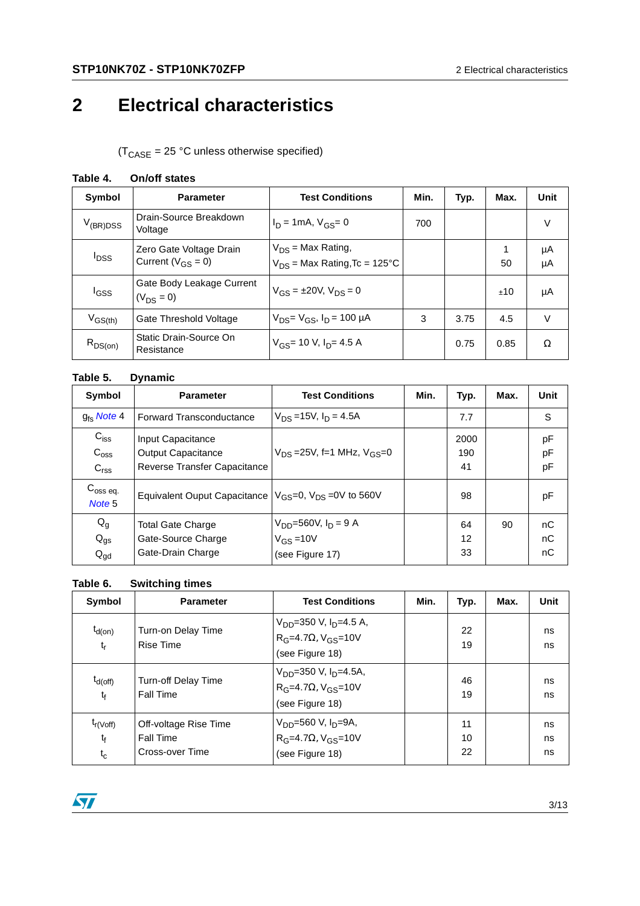### **2 Electrical characteristics**

 $(T_{\text{CASE}} = 25 \text{ °C}$  unless otherwise specified)

| Symbol           | <b>Parameter</b>                            | <b>Test Conditions</b>                  | Min. | Typ. | Max. | Unit   |
|------------------|---------------------------------------------|-----------------------------------------|------|------|------|--------|
| $V_{(BR)DSS}$    | Drain-Source Breakdown<br>Voltage           | $I_D = 1mA$ , $V_{GS} = 0$              | 700  |      |      | V      |
| <sup>l</sup> DSS | Zero Gate Voltage Drain                     | $V_{DS}$ = Max Rating,                  |      |      |      | μA     |
|                  | Current ( $V_{GS} = 0$ )                    | $V_{DS}$ = Max Rating, Tc = 125°C       |      |      | 50   | μA     |
| <sup>I</sup> GSS | Gate Body Leakage Current<br>$(V_{DS} = 0)$ | $V_{GS} = \pm 20 V$ , $V_{DS} = 0$      |      |      | ±10  | μA     |
| $V_{GS(th)}$     | Gate Threshold Voltage                      | $V_{DS} = V_{GS}$ , $I_D = 100 \mu A$   | 3    | 3.75 | 4.5  | $\vee$ |
| $R_{DS(on)}$     | Static Drain-Source On<br>Resistance        | $V_{GS}$ = 10 V, I <sub>D</sub> = 4.5 A |      | 0.75 | 0.85 | Ω      |

#### **Table 5. Dynamic**

| Symbol                                            | <b>Parameter</b>                                                               | <b>Test Conditions</b>                                          | Min. | Typ.              | Max. | Unit           |
|---------------------------------------------------|--------------------------------------------------------------------------------|-----------------------------------------------------------------|------|-------------------|------|----------------|
| $q_{\text{fc}}$ Note 4                            | <b>Forward Transconductance</b>                                                | $V_{DS} = 15V$ , $I_D = 4.5A$                                   |      | 7.7               |      | S              |
| $C_{iss}$<br>$C_{\text{oss}}$<br>C <sub>rss</sub> | Input Capacitance<br><b>Output Capacitance</b><br>Reverse Transfer Capacitance | $V_{DS} = 25V$ , f=1 MHz, $V_{GS} = 0$                          |      | 2000<br>190<br>41 |      | pF<br>pF<br>pF |
| $C_{\rm oss}$ eq.<br>Note <sub>5</sub>            | Equivalent Ouput Capacitance $V_{GS}=0$ , $V_{DS}=0V$ to 560V                  |                                                                 |      | 98                |      | pF             |
| $Q_g$<br>$Q_{gs}$<br>$Q_{\text{gd}}$              | <b>Total Gate Charge</b><br>Gate-Source Charge<br>Gate-Drain Charge            | $V_{DD} = 560V, I_D = 9 A$<br>$V_{GS} = 10V$<br>(see Figure 17) |      | 64<br>12<br>33    | 90   | nC<br>nC<br>nC |

#### **Table 6. Switching times**

| Symbol                                | <b>Parameter</b>                                      | <b>Test Conditions</b>                                                                                  | Min. | Typ.           | Max. | Unit           |
|---------------------------------------|-------------------------------------------------------|---------------------------------------------------------------------------------------------------------|------|----------------|------|----------------|
| $t_{d(on)}$<br>$t_{r}$                | Turn-on Delay Time<br>Rise Time                       | V <sub>DD</sub> =350 V, I <sub>D</sub> =4.5 A,<br>$RG=4.7\Omega, VGS=10V$<br>(see Figure 18)            |      | 22<br>19       |      | ns<br>ns       |
| $t_{d(off)}$<br>$t_{\rm f}$           | Turn-off Delay Time<br>Fall Time                      | $V_{DD}$ =350 V, I <sub>D</sub> =4.5A,<br>R <sub>G</sub> =4.7Ω, V <sub>GS</sub> =10V<br>(see Figure 18) |      | 46<br>19       |      | ns<br>ns       |
| $t_{r(Voff)}$<br>$t_{\rm f}$<br>$t_c$ | Off-voltage Rise Time<br>Fall Time<br>Cross-over Time | V <sub>DD</sub> =560 V, I <sub>D</sub> =9A,<br>$R_G$ =4.7 $\Omega$ , $V_{GS}$ =10V<br>(see Figure 18)   |      | 11<br>10<br>22 |      | ns<br>ns<br>ns |

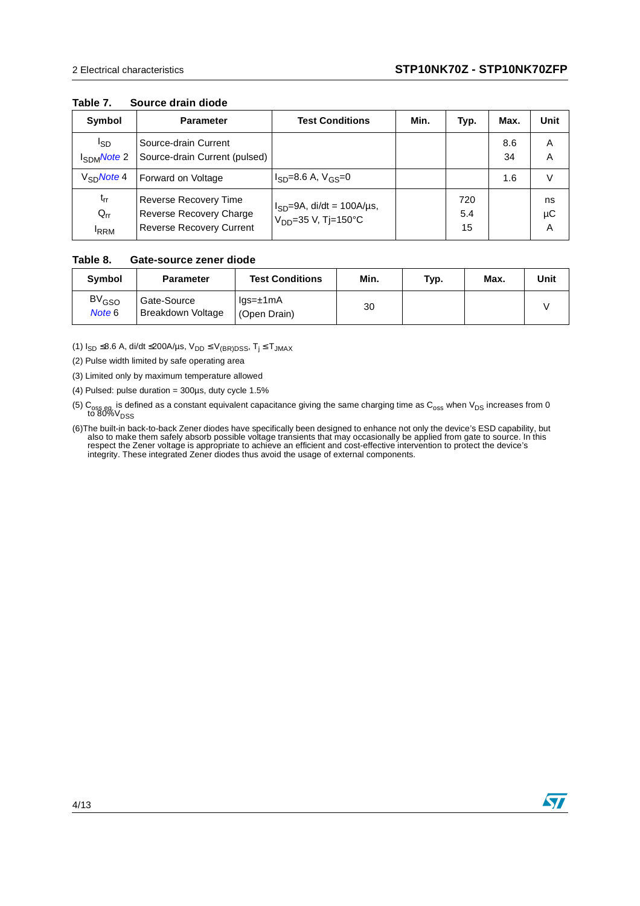#### **Table 7. Source drain diode**

| Symbol                                     | <b>Parameter</b>                                                             | <b>Test Conditions</b>                                         | Min. | Typ.             | Max.      | Unit          |
|--------------------------------------------|------------------------------------------------------------------------------|----------------------------------------------------------------|------|------------------|-----------|---------------|
| l <sub>SD</sub><br>I <sub>SDM</sub> Note 2 | Source-drain Current<br>Source-drain Current (pulsed)                        |                                                                |      |                  | 8.6<br>34 | A<br>A        |
| $V_{SD}$ Note 4                            | Forward on Voltage                                                           | $I_{SD} = 8.6$ A, $V_{GS} = 0$                                 |      |                  | 1.6       | $\vee$        |
| $t_{rr}$<br>$Q_{rr}$<br><sup>I</sup> RRM   | Reverse Recovery Time<br>Reverse Recovery Charge<br>Reverse Recovery Current | $I_{SD} = 9A$ , di/dt = 100A/µs,<br>$V_{DD} = 35 V, T = 150°C$ |      | 720<br>5.4<br>15 |           | ns<br>μC<br>A |

#### **Table 8. Gate-source zener diode**

| <b>Symbol</b>                     | <b>Parameter</b>                 | <b>Test Conditions</b>          | Min. | Typ. | Max. | Unit |
|-----------------------------------|----------------------------------|---------------------------------|------|------|------|------|
| <b>BV<sub>GSO</sub></b><br>Note 6 | Gate-Source<br>Breakdown Voltage | $lgs = \pm 1mA$<br>(Open Drain) | 30   |      |      |      |

(1)  $I_{SD}$  ≤8.6 A, di/dt ≤200A/µs,  $V_{DD}$  ≤  $V_{(BR)DSS}$ ,  $T_j$  ≤  $T_{JMAX}$ 

<span id="page-3-1"></span>(2) Pulse width limited by safe operating area

<span id="page-3-0"></span>(3) Limited only by maximum temperature allowed

<span id="page-3-2"></span>(4) Pulsed: pulse duration =  $300\mu s$ , duty cycle  $1.5\%$ 

(5)  $\rm{C_{oss}}$  eq is defined as a constant equivalent capacitance giving the same charging time as  $\rm{C_{oss}}$  when  $\rm{V_{DS}}$  increases from 0 to 80% $\rm{V_{DSS}}$ 

<span id="page-3-3"></span>(6) The built-in back-to-back Zener diodes have specifically been designed to enhance not only the device's ESD capability, but also to make them safely absorb possible voltage transients that may occasionally be applied f respect the Zener voltage is appropriate to achieve an efficient and cost-effective intervention to protect the device's integrity. These integrated Zener diodes thus avoid the usage of external components.

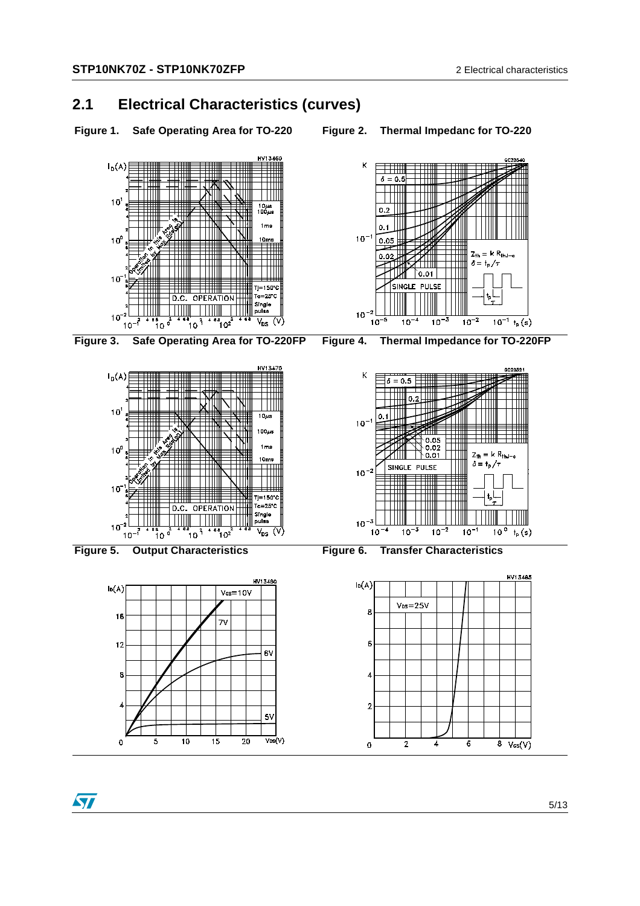#### **2.1 Electrical Characteristics (curves)**

- **Figure 1. Safe Operating Area for TO-220 Figure 2. Thermal Impedanc for TO-220**
- 













**Figure 5. Output Characteristics Figure 6. Transfer Characteristics**

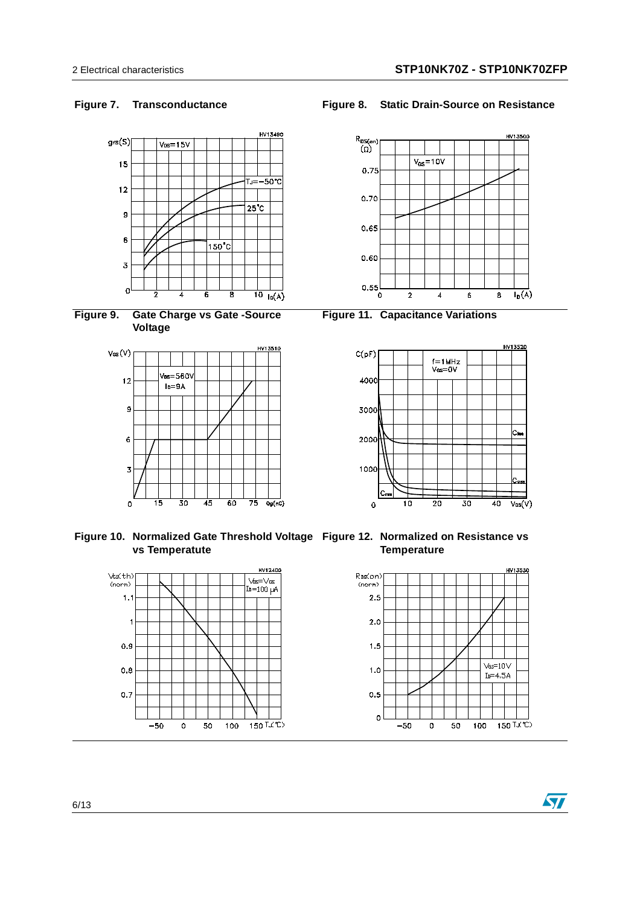





**Figure 10. Normalized Gate Threshold Voltage Figure 12. Normalized on Resistance vs vs Temperatute**



**Figure 7. Transconductance Figure 8. Static Drain-Source on Resistance**



**Figure 11. Capacitance Variations**



**Temperature**

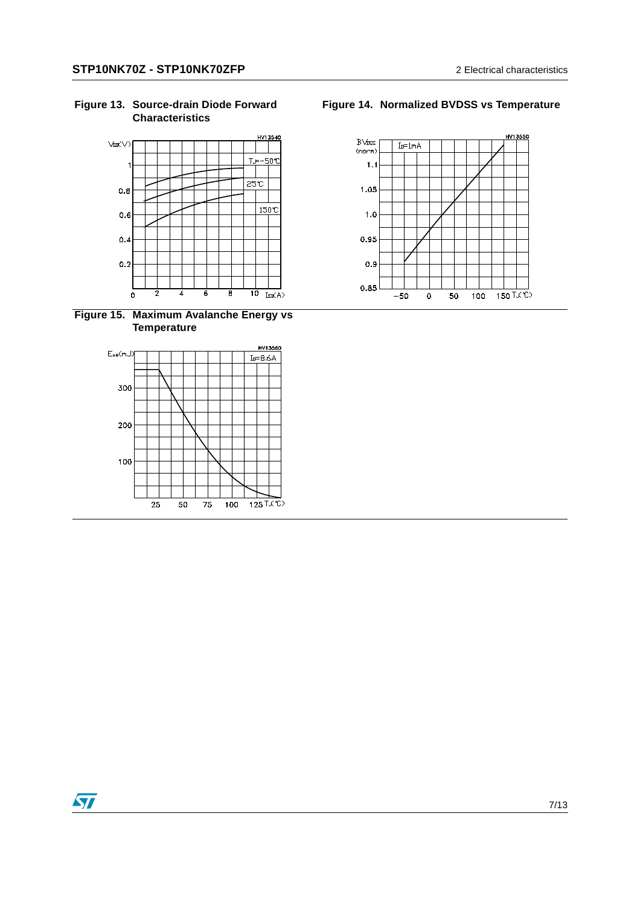

**Figure 15. Maximum Avalanche Energy vs Temperature**



#### **Figure 14. Normalized BVDSS vs Temperature**

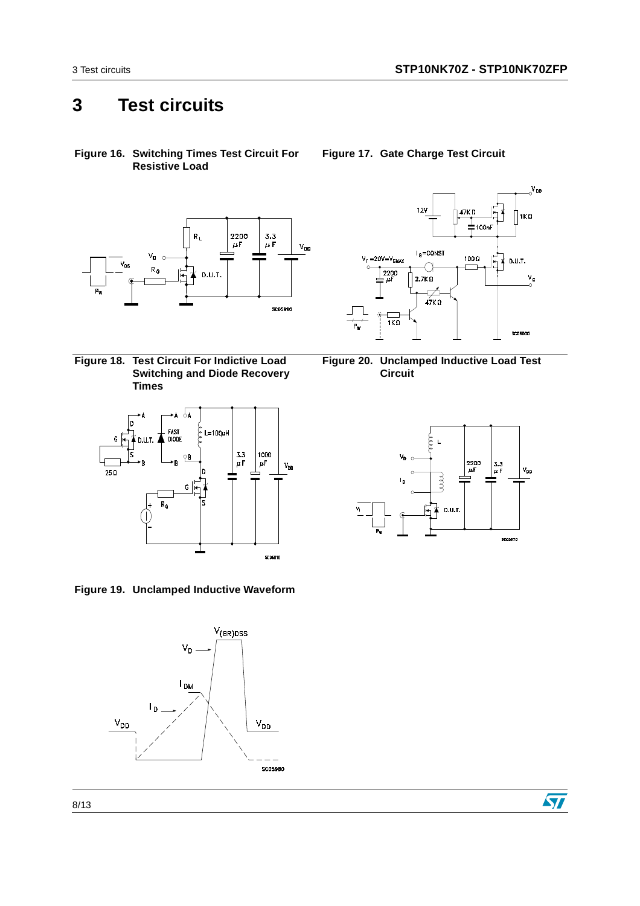### **3 Test circuits**

**Figure 16. Switching Times Test Circuit For Resistive Load**



<span id="page-7-1"></span>**Figure 18. Test Circuit For Indictive Load Switching and Diode Recovery Times**



**Figure 19. Unclamped Inductive Waveform**



<span id="page-7-0"></span>**Figure 17. Gate Charge Test Circuit**







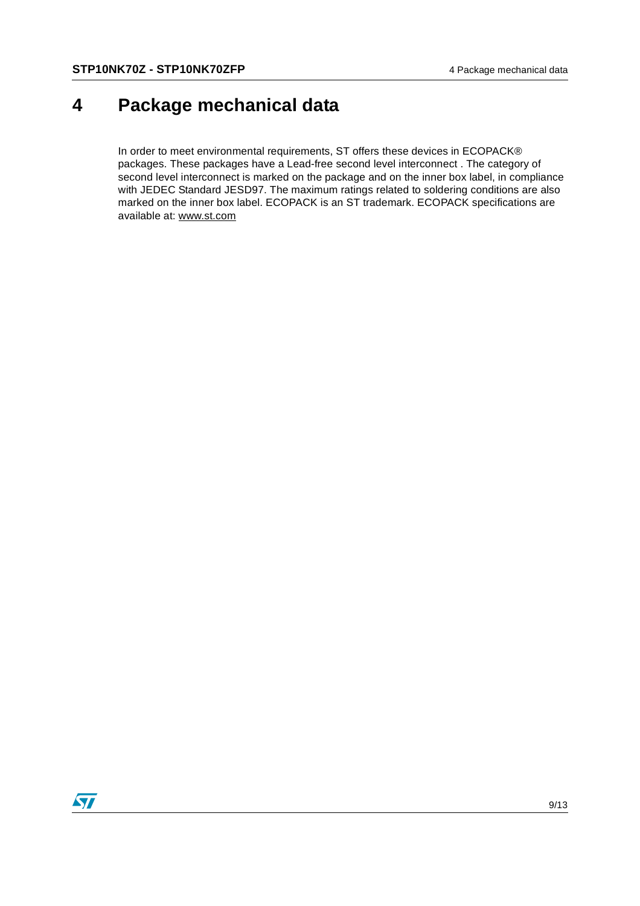### **4 Package mechanical data**

In order to meet environmental requirements, ST offers these devices in ECOPACK® packages. These packages have a Lead-free second level interconnect . The category of second level interconnect is marked on the package and on the inner box label, in compliance with JEDEC Standard JESD97. The maximum ratings related to soldering conditions are also marked on the inner box label. ECOPACK is an ST trademark. ECOPACK specifications are available at: www.st.com

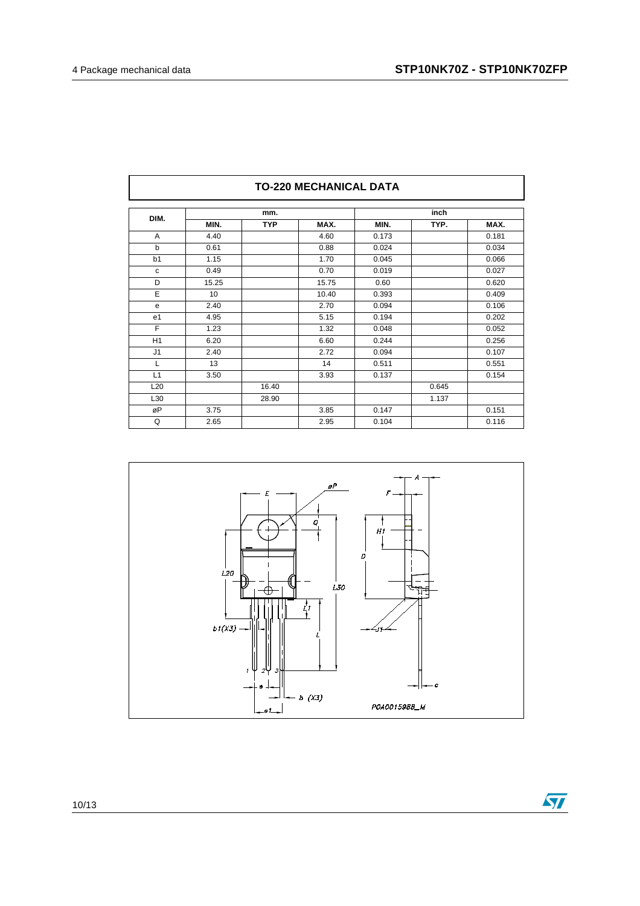| DIM.            |       | mm.        |       | inch  |       |       |  |
|-----------------|-------|------------|-------|-------|-------|-------|--|
|                 | MIN.  | <b>TYP</b> | MAX.  | MIN.  | TYP.  | MAX.  |  |
| A               | 4.40  |            | 4.60  | 0.173 |       | 0.181 |  |
| b               | 0.61  |            | 0.88  | 0.024 |       | 0.034 |  |
| b1              | 1.15  |            | 1.70  | 0.045 |       | 0.066 |  |
| C               | 0.49  |            | 0.70  | 0.019 |       | 0.027 |  |
| D               | 15.25 |            | 15.75 | 0.60  |       | 0.620 |  |
| E               | 10    |            | 10.40 | 0.393 |       | 0.409 |  |
| е               | 2.40  |            | 2.70  | 0.094 |       | 0.106 |  |
| e <sub>1</sub>  | 4.95  |            | 5.15  | 0.194 |       | 0.202 |  |
| F               | 1.23  |            | 1.32  | 0.048 |       | 0.052 |  |
| H1              | 6.20  |            | 6.60  | 0.244 |       | 0.256 |  |
| J <sub>1</sub>  | 2.40  |            | 2.72  | 0.094 |       | 0.107 |  |
| L               | 13    |            | 14    | 0.511 |       | 0.551 |  |
| L1              | 3.50  |            | 3.93  | 0.137 |       | 0.154 |  |
| L <sub>20</sub> |       | 16.40      |       |       | 0.645 |       |  |
| L30             |       | 28.90      |       |       | 1.137 |       |  |
| øP              | 3.75  |            | 3.85  | 0.147 |       | 0.151 |  |
| Q               | 2.65  |            | 2.95  | 0.104 |       | 0.116 |  |

#### **TO-220 MECHANICAL DATA**



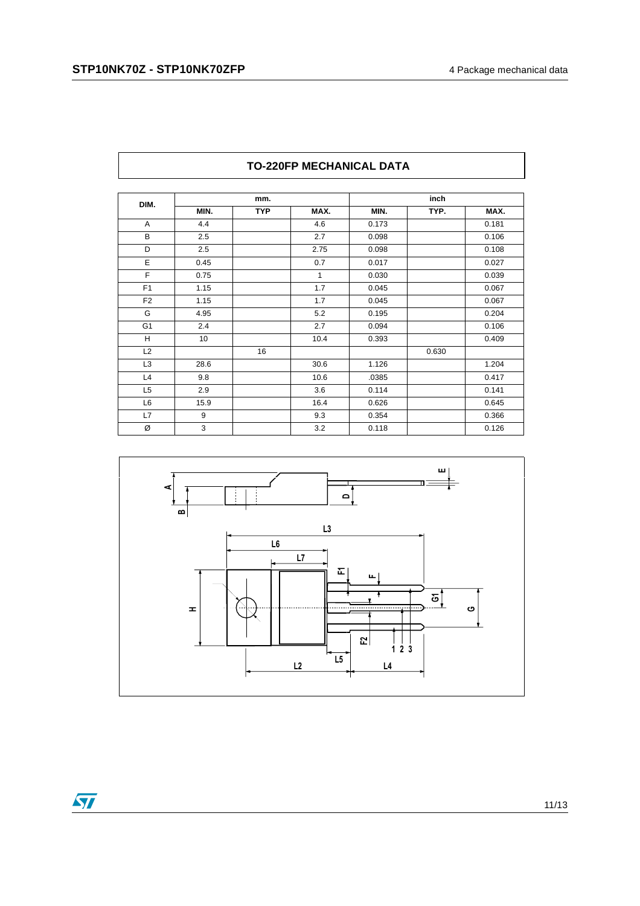| DIM.           | mm.  |            |         | inch  |       |       |
|----------------|------|------------|---------|-------|-------|-------|
|                | MIN. | <b>TYP</b> | MAX.    | MIN.  | TYP.  | MAX.  |
| A              | 4.4  |            | 4.6     | 0.173 |       | 0.181 |
| B              | 2.5  |            | 2.7     | 0.098 |       | 0.106 |
| D              | 2.5  |            | 2.75    | 0.098 |       | 0.108 |
| E              | 0.45 |            | 0.7     | 0.017 |       | 0.027 |
| F              | 0.75 |            | 1       | 0.030 |       | 0.039 |
| F <sub>1</sub> | 1.15 |            | 1.7     | 0.045 |       | 0.067 |
| F <sub>2</sub> | 1.15 |            | 1.7     | 0.045 |       | 0.067 |
| G              | 4.95 |            | 5.2     | 0.195 |       | 0.204 |
| G <sub>1</sub> | 2.4  |            | 2.7     | 0.094 |       | 0.106 |
| H              | 10   |            | 10.4    | 0.393 |       | 0.409 |
| L2             |      | 16         |         |       | 0.630 |       |
| L <sub>3</sub> | 28.6 |            | 30.6    | 1.126 |       | 1.204 |
| L4             | 9.8  |            | 10.6    | .0385 |       | 0.417 |
| L <sub>5</sub> | 2.9  |            | 3.6     | 0.114 |       | 0.141 |
| L <sub>6</sub> | 15.9 |            | 16.4    | 0.626 |       | 0.645 |
| L7             | 9    |            | 9.3     | 0.354 |       | 0.366 |
| Ø              | 3    |            | $3.2\,$ | 0.118 |       | 0.126 |

#### **TO-220FP MECHANICAL DATA**



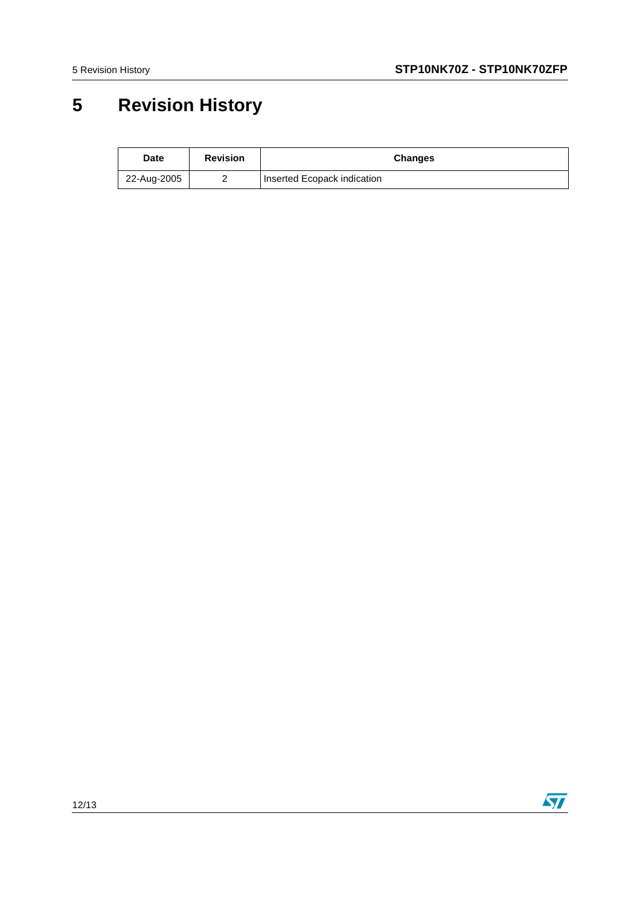### **5 Revision History**

| <b>Date</b> | <b>Revision</b> | <b>Changes</b>              |  |
|-------------|-----------------|-----------------------------|--|
| 22-Aug-2005 |                 | Inserted Ecopack indication |  |